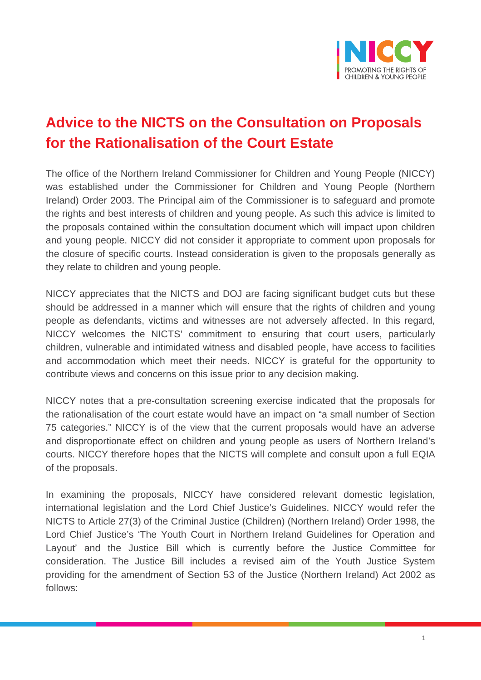

## **Advice to the NICTS on the Consultation on Proposals for the Rationalisation of the Court Estate**

The office of the Northern Ireland Commissioner for Children and Young People (NICCY) was established under the Commissioner for Children and Young People (Northern Ireland) Order 2003. The Principal aim of the Commissioner is to safeguard and promote the rights and best interests of children and young people. As such this advice is limited to the proposals contained within the consultation document which will impact upon children and young people. NICCY did not consider it appropriate to comment upon proposals for the closure of specific courts. Instead consideration is given to the proposals generally as they relate to children and young people.

NICCY appreciates that the NICTS and DOJ are facing significant budget cuts but these should be addressed in a manner which will ensure that the rights of children and young people as defendants, victims and witnesses are not adversely affected. In this regard, NICCY welcomes the NICTS' commitment to ensuring that court users, particularly children, vulnerable and intimidated witness and disabled people, have access to facilities and accommodation which meet their needs. NICCY is grateful for the opportunity to contribute views and concerns on this issue prior to any decision making.

NICCY notes that a pre-consultation screening exercise indicated that the proposals for the rationalisation of the court estate would have an impact on "a small number of Section 75 categories." NICCY is of the view that the current proposals would have an adverse and disproportionate effect on children and young people as users of Northern Ireland's courts. NICCY therefore hopes that the NICTS will complete and consult upon a full EQIA of the proposals.

In examining the proposals, NICCY have considered relevant domestic legislation, international legislation and the Lord Chief Justice's Guidelines. NICCY would refer the NICTS to Article 27(3) of the Criminal Justice (Children) (Northern Ireland) Order 1998, the Lord Chief Justice's 'The Youth Court in Northern Ireland Guidelines for Operation and Layout' and the Justice Bill which is currently before the Justice Committee for consideration. The Justice Bill includes a revised aim of the Youth Justice System providing for the amendment of Section 53 of the Justice (Northern Ireland) Act 2002 as follows: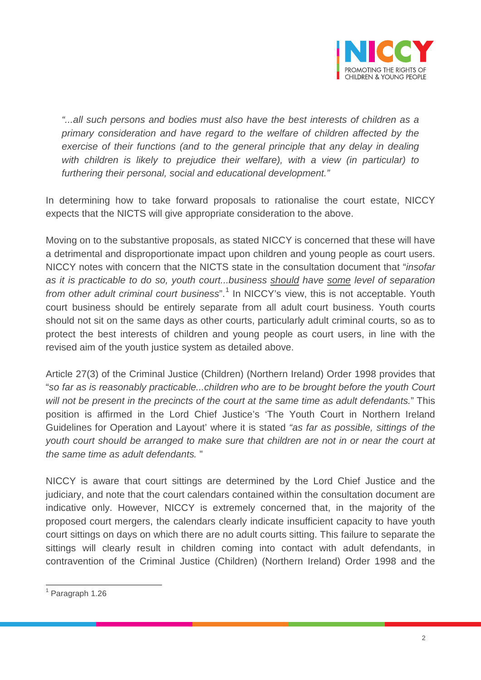

*"...all such persons and bodies must also have the best interests of children as a primary consideration and have regard to the welfare of children affected by the exercise of their functions (and to the general principle that any delay in dealing with children is likely to prejudice their welfare), with a view (in particular) to furthering their personal, social and educational development."* 

In determining how to take forward proposals to rationalise the court estate, NICCY expects that the NICTS will give appropriate consideration to the above.

Moving on to the substantive proposals, as stated NICCY is concerned that these will have a detrimental and disproportionate impact upon children and young people as court users. NICCY notes with concern that the NICTS state in the consultation document that "*insofar as it is practicable to do so, youth court...business should have some level of separation from other adult criminal court business*".<sup>[1](#page-1-0)</sup> In NICCY's view, this is not acceptable. Youth court business should be entirely separate from all adult court business. Youth courts should not sit on the same days as other courts, particularly adult criminal courts, so as to protect the best interests of children and young people as court users, in line with the revised aim of the youth justice system as detailed above.

Article 27(3) of the Criminal Justice (Children) (Northern Ireland) Order 1998 provides that "*so far as is reasonably practicable...children who are to be brought before the youth Court will not be present in the precincts of the court at the same time as adult defendants.*" This position is affirmed in the Lord Chief Justice's 'The Youth Court in Northern Ireland Guidelines for Operation and Layout' where it is stated *"as far as possible, sittings of the youth court should be arranged to make sure that children are not in or near the court at the same time as adult defendants.* "

NICCY is aware that court sittings are determined by the Lord Chief Justice and the judiciary, and note that the court calendars contained within the consultation document are indicative only. However, NICCY is extremely concerned that, in the majority of the proposed court mergers, the calendars clearly indicate insufficient capacity to have youth court sittings on days on which there are no adult courts sitting. This failure to separate the sittings will clearly result in children coming into contact with adult defendants, in contravention of the Criminal Justice (Children) (Northern Ireland) Order 1998 and the

<span id="page-1-0"></span><sup>1</sup> Paragraph 1.26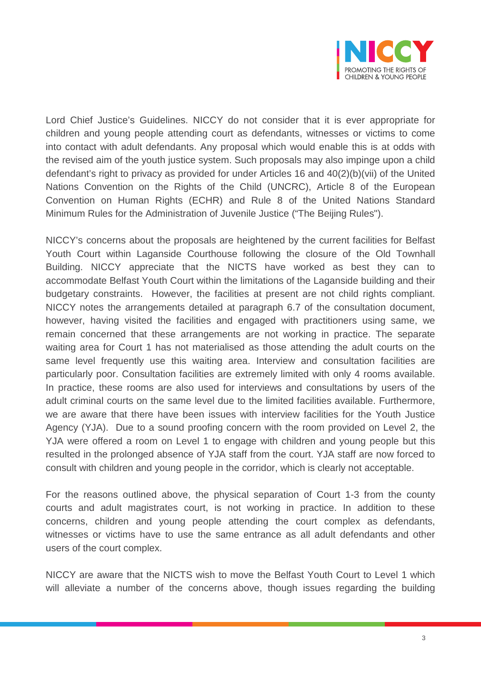

Lord Chief Justice's Guidelines. NICCY do not consider that it is ever appropriate for children and young people attending court as defendants, witnesses or victims to come into contact with adult defendants. Any proposal which would enable this is at odds with the revised aim of the youth justice system. Such proposals may also impinge upon a child defendant's right to privacy as provided for under Articles 16 and 40(2)(b)(vii) of the United Nations Convention on the Rights of the Child (UNCRC), Article 8 of the European Convention on Human Rights (ECHR) and Rule 8 of the United Nations Standard Minimum Rules for the Administration of Juvenile Justice ("The Beijing Rules").

NICCY's concerns about the proposals are heightened by the current facilities for Belfast Youth Court within Laganside Courthouse following the closure of the Old Townhall Building. NICCY appreciate that the NICTS have worked as best they can to accommodate Belfast Youth Court within the limitations of the Laganside building and their budgetary constraints. However, the facilities at present are not child rights compliant. NICCY notes the arrangements detailed at paragraph 6.7 of the consultation document, however, having visited the facilities and engaged with practitioners using same, we remain concerned that these arrangements are not working in practice. The separate waiting area for Court 1 has not materialised as those attending the adult courts on the same level frequently use this waiting area. Interview and consultation facilities are particularly poor. Consultation facilities are extremely limited with only 4 rooms available. In practice, these rooms are also used for interviews and consultations by users of the adult criminal courts on the same level due to the limited facilities available. Furthermore, we are aware that there have been issues with interview facilities for the Youth Justice Agency (YJA). Due to a sound proofing concern with the room provided on Level 2, the YJA were offered a room on Level 1 to engage with children and young people but this resulted in the prolonged absence of YJA staff from the court. YJA staff are now forced to consult with children and young people in the corridor, which is clearly not acceptable.

For the reasons outlined above, the physical separation of Court 1-3 from the county courts and adult magistrates court, is not working in practice. In addition to these concerns, children and young people attending the court complex as defendants, witnesses or victims have to use the same entrance as all adult defendants and other users of the court complex.

NICCY are aware that the NICTS wish to move the Belfast Youth Court to Level 1 which will alleviate a number of the concerns above, though issues regarding the building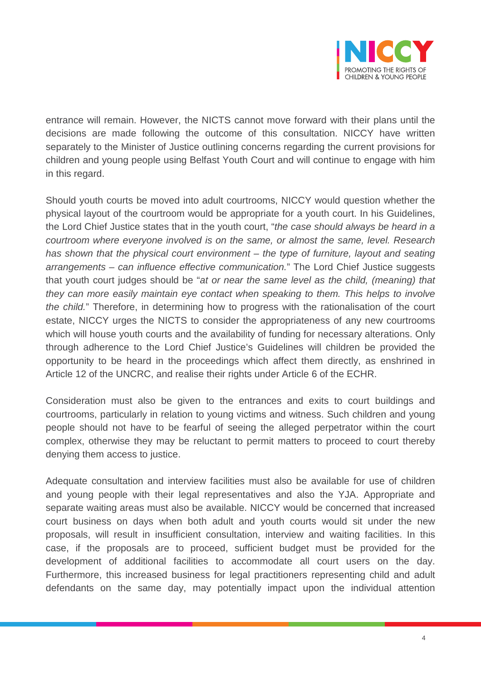

entrance will remain. However, the NICTS cannot move forward with their plans until the decisions are made following the outcome of this consultation. NICCY have written separately to the Minister of Justice outlining concerns regarding the current provisions for children and young people using Belfast Youth Court and will continue to engage with him in this regard.

Should youth courts be moved into adult courtrooms, NICCY would question whether the physical layout of the courtroom would be appropriate for a youth court. In his Guidelines, the Lord Chief Justice states that in the youth court, "*the case should always be heard in a courtroom where everyone involved is on the same, or almost the same, level. Research has shown that the physical court environment – the type of furniture, layout and seating arrangements – can influence effective communication.*" The Lord Chief Justice suggests that youth court judges should be "*at or near the same level as the child, (meaning) that they can more easily maintain eye contact when speaking to them. This helps to involve the child.*" Therefore, in determining how to progress with the rationalisation of the court estate, NICCY urges the NICTS to consider the appropriateness of any new courtrooms which will house youth courts and the availability of funding for necessary alterations. Only through adherence to the Lord Chief Justice's Guidelines will children be provided the opportunity to be heard in the proceedings which affect them directly, as enshrined in Article 12 of the UNCRC, and realise their rights under Article 6 of the ECHR.

Consideration must also be given to the entrances and exits to court buildings and courtrooms, particularly in relation to young victims and witness. Such children and young people should not have to be fearful of seeing the alleged perpetrator within the court complex, otherwise they may be reluctant to permit matters to proceed to court thereby denying them access to justice.

Adequate consultation and interview facilities must also be available for use of children and young people with their legal representatives and also the YJA. Appropriate and separate waiting areas must also be available. NICCY would be concerned that increased court business on days when both adult and youth courts would sit under the new proposals, will result in insufficient consultation, interview and waiting facilities. In this case, if the proposals are to proceed, sufficient budget must be provided for the development of additional facilities to accommodate all court users on the day. Furthermore, this increased business for legal practitioners representing child and adult defendants on the same day, may potentially impact upon the individual attention